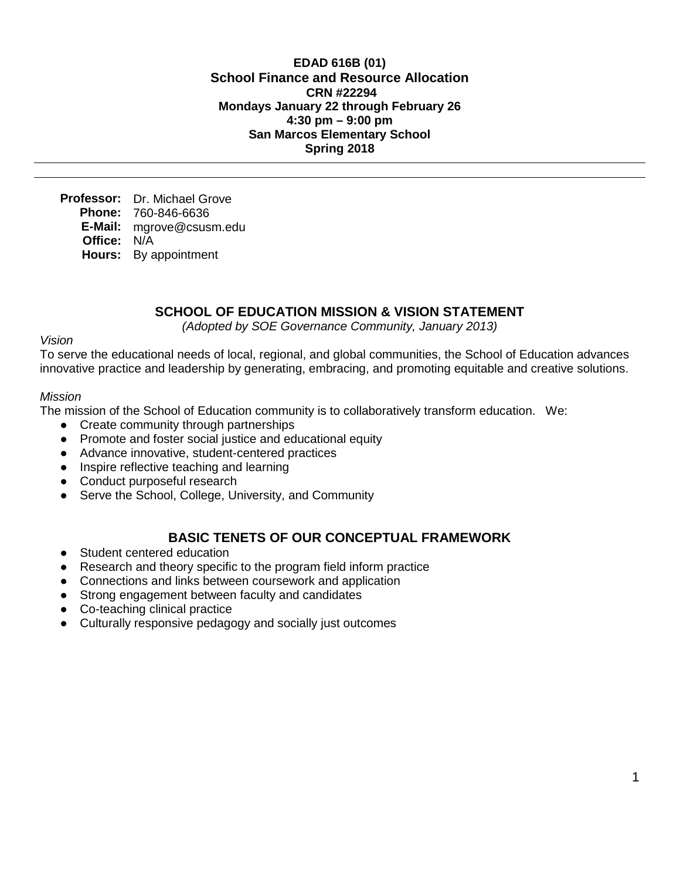**EDAD 616B (01) School Finance and Resource Allocation CRN #22294 Mondays January 22 through February 26 4:30 pm – 9:00 pm San Marcos Elementary School Spring 2018**

**Professor:** Dr. Michael Grove **Phone:** 760-846-6636 **E-Mail:** mgrove@csusm.edu **Office:** N/A **Hours:** By appointment

## **SCHOOL OF EDUCATION MISSION & VISION STATEMENT**

*(Adopted by SOE Governance Community, January 2013)*

*Vision*

To serve the educational needs of local, regional, and global communities, the School of Education advances innovative practice and leadership by generating, embracing, and promoting equitable and creative solutions.

#### *Mission*

The mission of the School of Education community is to collaboratively transform education. We:

- Create community through partnerships
- Promote and foster social justice and educational equity
- Advance innovative, student-centered practices
- Inspire reflective teaching and learning
- Conduct purposeful research
- Serve the School, College, University, and Community

## **BASIC TENETS OF OUR CONCEPTUAL FRAMEWORK**

- Student centered education
- Research and theory specific to the program field inform practice
- Connections and links between coursework and application
- Strong engagement between faculty and candidates
- Co-teaching clinical practice
- Culturally responsive pedagogy and socially just outcomes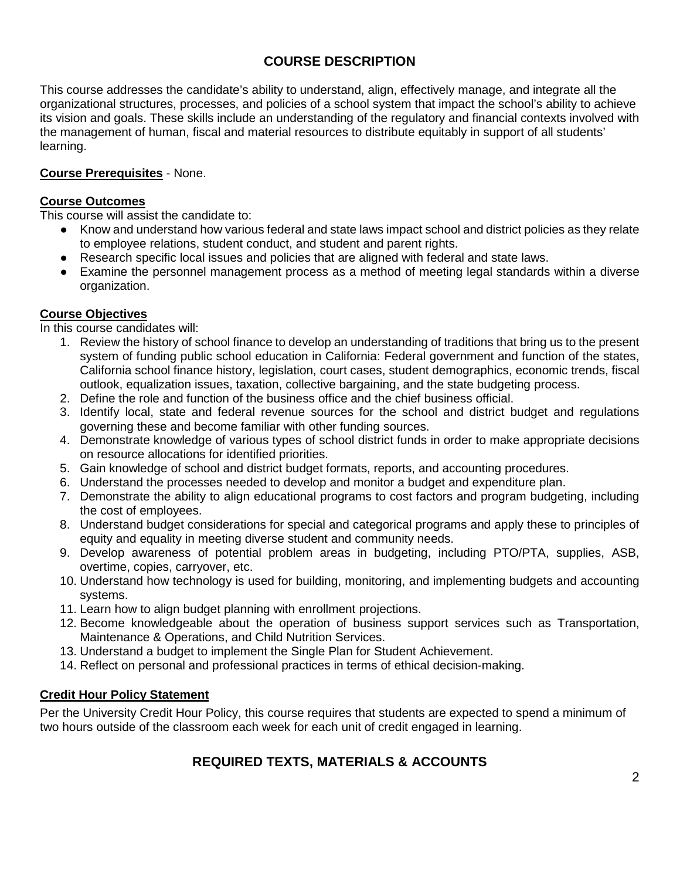# **COURSE DESCRIPTION**

This course addresses the candidate's ability to understand, align, effectively manage, and integrate all the organizational structures, processes, and policies of a school system that impact the school's ability to achieve its vision and goals. These skills include an understanding of the regulatory and financial contexts involved with the management of human, fiscal and material resources to distribute equitably in support of all students' learning.

## **Course Prerequisites** - None.

### **Course Outcomes**

This course will assist the candidate to:

- Know and understand how various federal and state laws impact school and district policies as they relate to employee relations, student conduct, and student and parent rights.
- Research specific local issues and policies that are aligned with federal and state laws.
- Examine the personnel management process as a method of meeting legal standards within a diverse organization.

## **Course Objectives**

In this course candidates will:

- 1. Review the history of school finance to develop an understanding of traditions that bring us to the present system of funding public school education in California: Federal government and function of the states, California school finance history, legislation, court cases, student demographics, economic trends, fiscal outlook, equalization issues, taxation, collective bargaining, and the state budgeting process.
- 2. Define the role and function of the business office and the chief business official.
- 3. Identify local, state and federal revenue sources for the school and district budget and regulations governing these and become familiar with other funding sources.
- 4. Demonstrate knowledge of various types of school district funds in order to make appropriate decisions on resource allocations for identified priorities.
- 5. Gain knowledge of school and district budget formats, reports, and accounting procedures.
- 6. Understand the processes needed to develop and monitor a budget and expenditure plan.
- 7. Demonstrate the ability to align educational programs to cost factors and program budgeting, including the cost of employees.
- 8. Understand budget considerations for special and categorical programs and apply these to principles of equity and equality in meeting diverse student and community needs.
- 9. Develop awareness of potential problem areas in budgeting, including PTO/PTA, supplies, ASB, overtime, copies, carryover, etc.
- 10. Understand how technology is used for building, monitoring, and implementing budgets and accounting systems.
- 11. Learn how to align budget planning with enrollment projections.
- 12. Become knowledgeable about the operation of business support services such as Transportation, Maintenance & Operations, and Child Nutrition Services.
- 13. Understand a budget to implement the Single Plan for Student Achievement.
- 14. Reflect on personal and professional practices in terms of ethical decision-making.

#### **Credit Hour Policy Statement**

Per the University Credit Hour Policy, this course requires that students are expected to spend a minimum of two hours outside of the classroom each week for each unit of credit engaged in learning.

# **REQUIRED TEXTS, MATERIALS & ACCOUNTS**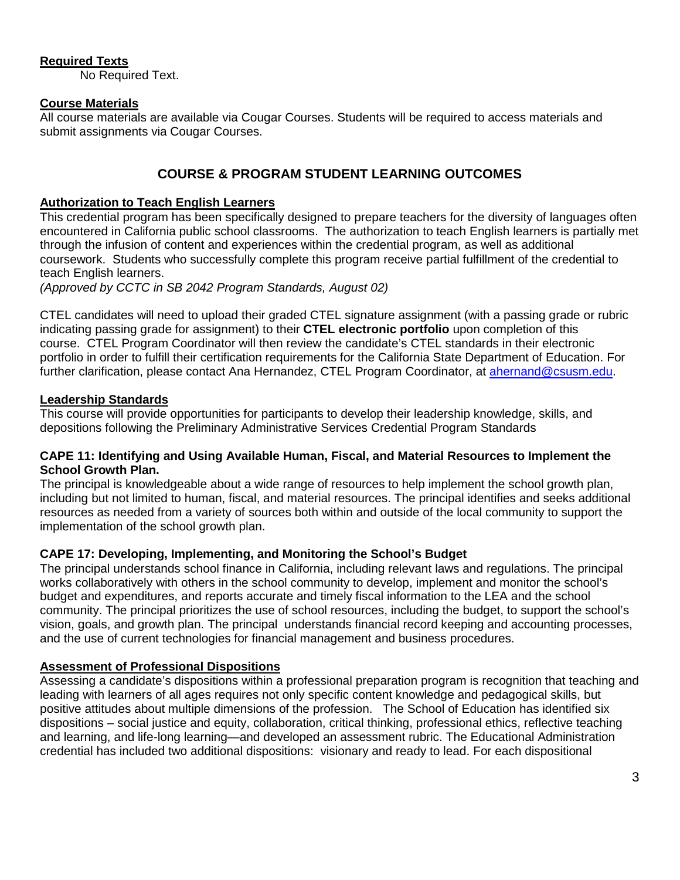## **Required Texts**

No Required Text.

## **Course Materials**

All course materials are available via Cougar Courses. Students will be required to access materials and submit assignments via Cougar Courses.

# **COURSE & PROGRAM STUDENT LEARNING OUTCOMES**

## **Authorization to Teach English Learners**

This credential program has been specifically designed to prepare teachers for the diversity of languages often encountered in California public school classrooms. The authorization to teach English learners is partially met through the infusion of content and experiences within the credential program, as well as additional coursework. Students who successfully complete this program receive partial fulfillment of the credential to teach English learners.

*(Approved by CCTC in SB 2042 Program Standards, August 02)*

CTEL candidates will need to upload their graded CTEL signature assignment (with a passing grade or rubric indicating passing grade for assignment) to their **CTEL electronic portfolio** upon completion of this course. CTEL Program Coordinator will then review the candidate's CTEL standards in their electronic portfolio in order to fulfill their certification requirements for the California State Department of Education. For further clarification, please contact Ana Hernandez, CTEL Program Coordinator, at [ahernand@csusm.edu.](https://bl2prd0511.outlook.com/owa/redir.aspx?C=AW7hZ-DBL0G6FPgB8G8Eri3bAwuccNAIwYI81VgsrzvmHC5AEo6nGJNyvZWC7aqWfxtUgiTx_9k.&URL=mailto%3aahernand%40csusm.edu)

## **Leadership Standards**

This course will provide opportunities for participants to develop their leadership knowledge, skills, and depositions following the Preliminary Administrative Services Credential Program Standards

#### **CAPE 11: Identifying and Using Available Human, Fiscal, and Material Resources to Implement the School Growth Plan.**

The principal is knowledgeable about a wide range of resources to help implement the school growth plan, including but not limited to human, fiscal, and material resources. The principal identifies and seeks additional resources as needed from a variety of sources both within and outside of the local community to support the implementation of the school growth plan.

## **CAPE 17: Developing, Implementing, and Monitoring the School's Budget**

The principal understands school finance in California, including relevant laws and regulations. The principal works collaboratively with others in the school community to develop, implement and monitor the school's budget and expenditures, and reports accurate and timely fiscal information to the LEA and the school community. The principal prioritizes the use of school resources, including the budget, to support the school's vision, goals, and growth plan. The principal understands financial record keeping and accounting processes, and the use of current technologies for financial management and business procedures.

# **Assessment of Professional Dispositions**

Assessing a candidate's dispositions within a professional preparation program is recognition that teaching and leading with learners of all ages requires not only specific content knowledge and pedagogical skills, but positive attitudes about multiple dimensions of the profession. The School of Education has identified six dispositions – social justice and equity, collaboration, critical thinking, professional ethics, reflective teaching and learning, and life-long learning—and developed an assessment rubric. The Educational Administration credential has included two additional dispositions: visionary and ready to lead. For each dispositional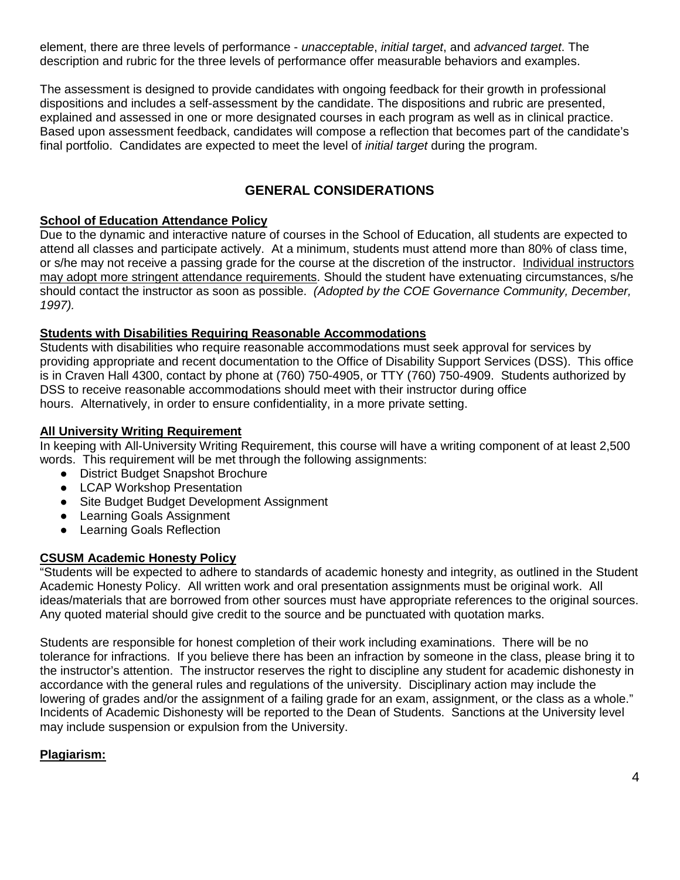element, there are three levels of performance - *unacceptable*, *initial target*, and *advanced target*. The description and rubric for the three levels of performance offer measurable behaviors and examples.

The assessment is designed to provide candidates with ongoing feedback for their growth in professional dispositions and includes a self-assessment by the candidate. The dispositions and rubric are presented, explained and assessed in one or more designated courses in each program as well as in clinical practice. Based upon assessment feedback, candidates will compose a reflection that becomes part of the candidate's final portfolio. Candidates are expected to meet the level of *initial target* during the program.

## **GENERAL CONSIDERATIONS**

### **School of Education Attendance Policy**

Due to the dynamic and interactive nature of courses in the School of Education, all students are expected to attend all classes and participate actively. At a minimum, students must attend more than 80% of class time, or s/he may not receive a passing grade for the course at the discretion of the instructor. Individual instructors may adopt more stringent attendance requirements. Should the student have extenuating circumstances, s/he should contact the instructor as soon as possible. *(Adopted by the COE Governance Community, December, 1997).*

### **Students with Disabilities Requiring Reasonable Accommodations**

Students with disabilities who require reasonable accommodations must seek approval for services by providing appropriate and recent documentation to the Office of Disability Support Services (DSS). This office is in Craven Hall 4300, contact by phone at (760) 750-4905, or TTY (760) 750-4909. Students authorized by DSS to receive reasonable accommodations should meet with their instructor during office hours. Alternatively, in order to ensure confidentiality, in a more private setting.

### **All University Writing Requirement**

In keeping with All-University Writing Requirement, this course will have a writing component of at least 2,500 words. This requirement will be met through the following assignments:

- District Budget Snapshot Brochure
- LCAP Workshop Presentation
- Site Budget Budget Development Assignment
- Learning Goals Assignment
- Learning Goals Reflection

## **CSUSM Academic Honesty Policy**

"Students will be expected to adhere to standards of academic honesty and integrity, as outlined in the Student Academic Honesty Policy. All written work and oral presentation assignments must be original work. All ideas/materials that are borrowed from other sources must have appropriate references to the original sources. Any quoted material should give credit to the source and be punctuated with quotation marks.

Students are responsible for honest completion of their work including examinations. There will be no tolerance for infractions. If you believe there has been an infraction by someone in the class, please bring it to the instructor's attention. The instructor reserves the right to discipline any student for academic dishonesty in accordance with the general rules and regulations of the university. Disciplinary action may include the lowering of grades and/or the assignment of a failing grade for an exam, assignment, or the class as a whole." Incidents of Academic Dishonesty will be reported to the Dean of Students. Sanctions at the University level may include suspension or expulsion from the University.

## **Plagiarism:**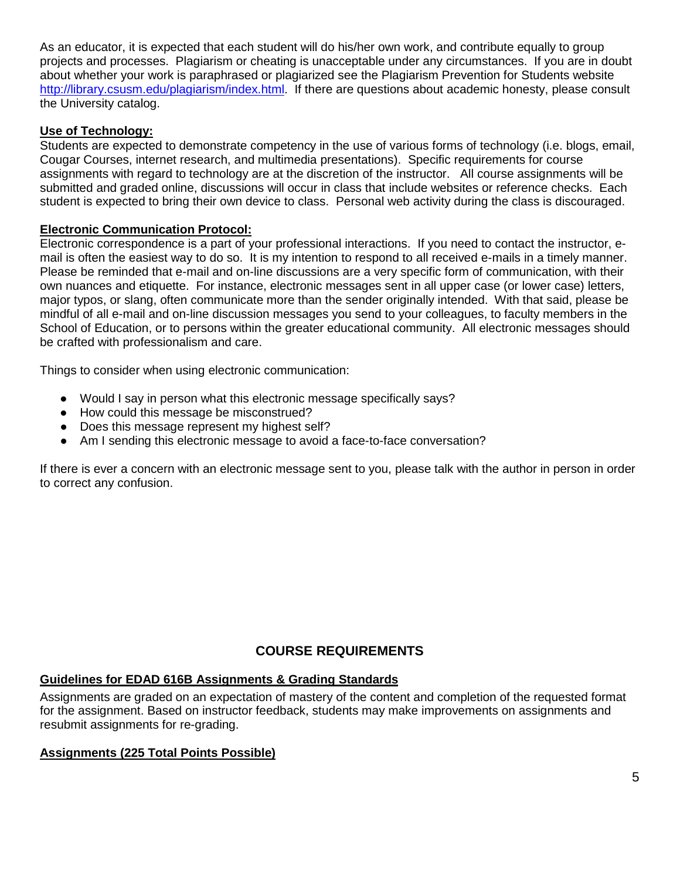As an educator, it is expected that each student will do his/her own work, and contribute equally to group projects and processes. Plagiarism or cheating is unacceptable under any circumstances. If you are in doubt about whether your work is paraphrased or plagiarized see the Plagiarism Prevention for Students website [http://library.csusm.edu/plagiarism/index.html.](http://library.csusm.edu/plagiarism/index.html) If there are questions about academic honesty, please consult the University catalog.

### **Use of Technology:**

Students are expected to demonstrate competency in the use of various forms of technology (i.e. blogs, email, Cougar Courses, internet research, and multimedia presentations). Specific requirements for course assignments with regard to technology are at the discretion of the instructor. All course assignments will be submitted and graded online, discussions will occur in class that include websites or reference checks. Each student is expected to bring their own device to class. Personal web activity during the class is discouraged.

### **Electronic Communication Protocol:**

Electronic correspondence is a part of your professional interactions. If you need to contact the instructor, email is often the easiest way to do so. It is my intention to respond to all received e-mails in a timely manner. Please be reminded that e-mail and on-line discussions are a very specific form of communication, with their own nuances and etiquette. For instance, electronic messages sent in all upper case (or lower case) letters, major typos, or slang, often communicate more than the sender originally intended. With that said, please be mindful of all e-mail and on-line discussion messages you send to your colleagues, to faculty members in the School of Education, or to persons within the greater educational community. All electronic messages should be crafted with professionalism and care.

Things to consider when using electronic communication:

- Would I say in person what this electronic message specifically says?
- How could this message be misconstrued?
- Does this message represent my highest self?
- Am I sending this electronic message to avoid a face-to-face conversation?

If there is ever a concern with an electronic message sent to you, please talk with the author in person in order to correct any confusion.

# **COURSE REQUIREMENTS**

# **Guidelines for EDAD 616B Assignments & Grading Standards**

Assignments are graded on an expectation of mastery of the content and completion of the requested format for the assignment. Based on instructor feedback, students may make improvements on assignments and resubmit assignments for re-grading.

# **Assignments (225 Total Points Possible)**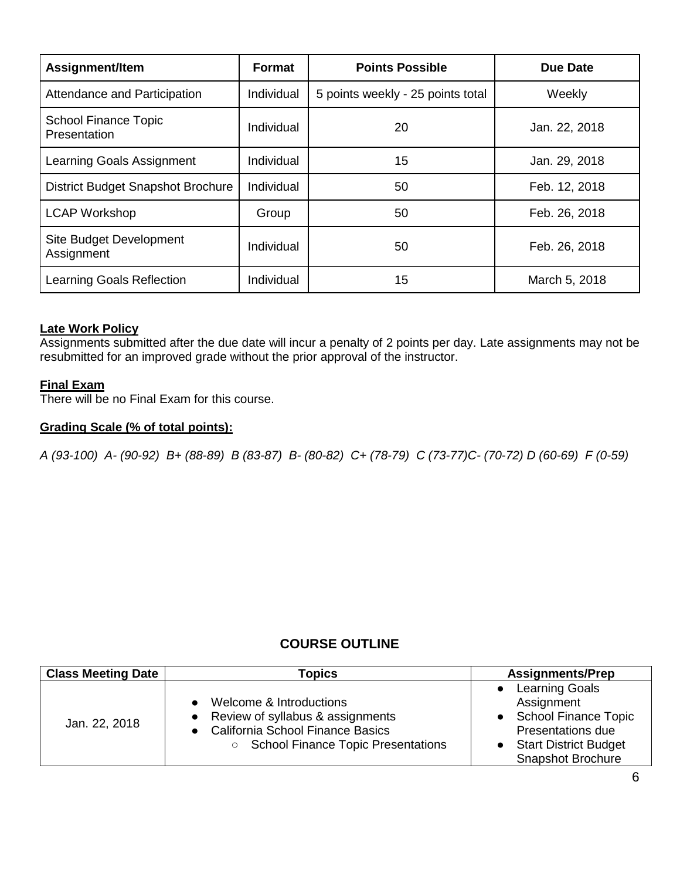| Assignment/Item                             | <b>Format</b> | <b>Points Possible</b>            | <b>Due Date</b> |
|---------------------------------------------|---------------|-----------------------------------|-----------------|
| Attendance and Participation                | Individual    | 5 points weekly - 25 points total | Weekly          |
| <b>School Finance Topic</b><br>Presentation | Individual    | 20                                | Jan. 22, 2018   |
| Learning Goals Assignment                   | Individual    | 15                                | Jan. 29, 2018   |
| District Budget Snapshot Brochure           | Individual    | 50                                | Feb. 12, 2018   |
| <b>LCAP Workshop</b>                        | Group         | 50                                | Feb. 26, 2018   |
| Site Budget Development<br>Assignment       | Individual    | 50                                | Feb. 26, 2018   |
| Learning Goals Reflection                   | Individual    | 15                                | March 5, 2018   |

#### **Late Work Policy**

Assignments submitted after the due date will incur a penalty of 2 points per day. Late assignments may not be resubmitted for an improved grade without the prior approval of the instructor.

#### **Final Exam**

There will be no Final Exam for this course.

#### **Grading Scale (% of total points):**

*A (93-100) A- (90-92) B+ (88-89) B (83-87) B- (80-82) C+ (78-79) C (73-77)C- (70-72) D (60-69) F (0-59)*

## **COURSE OUTLINE**

| <b>Class Meeting Date</b> | <b>Topics</b>                                                                                                                                  | <b>Assignments/Prep</b>                                                                                                                                    |
|---------------------------|------------------------------------------------------------------------------------------------------------------------------------------------|------------------------------------------------------------------------------------------------------------------------------------------------------------|
| Jan. 22, 2018             | Welcome & Introductions<br>Review of syllabus & assignments<br><b>California School Finance Basics</b><br>○ School Finance Topic Presentations | <b>Learning Goals</b><br>Assignment<br><b>School Finance Topic</b><br><b>Presentations due</b><br><b>Start District Budget</b><br><b>Snapshot Brochure</b> |